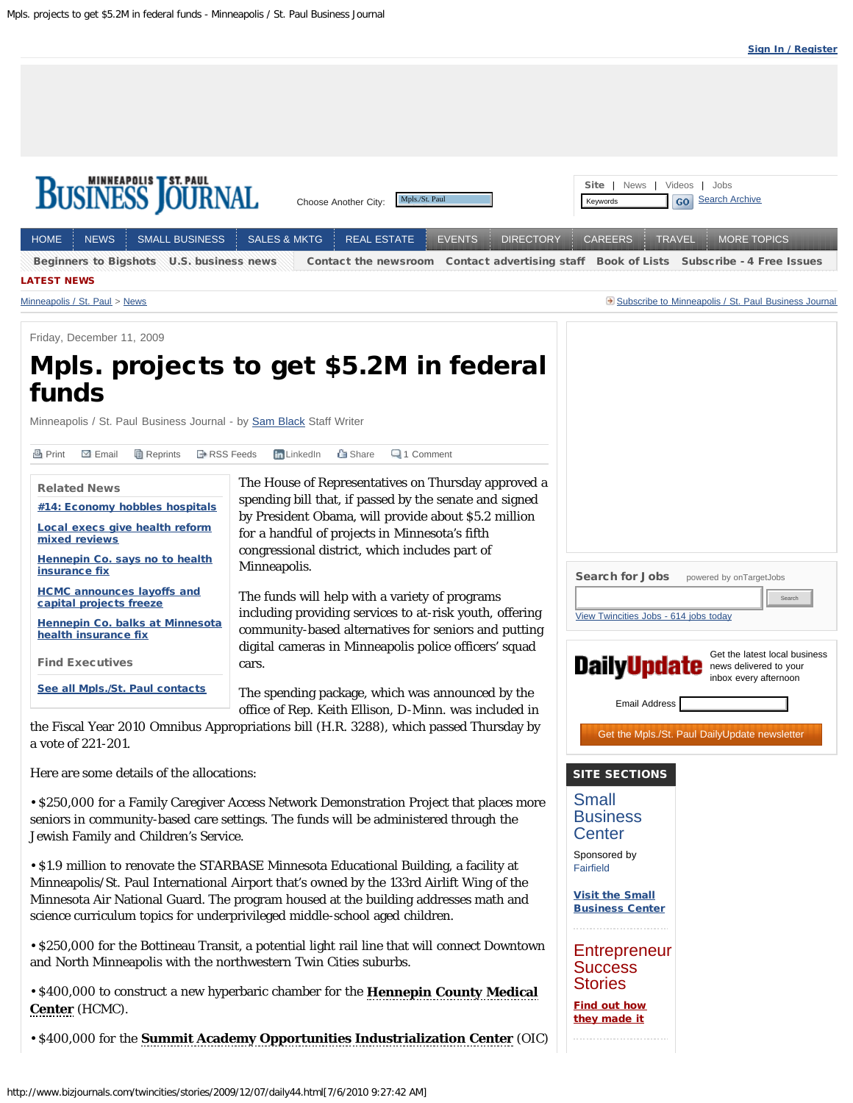<span id="page-0-0"></span>